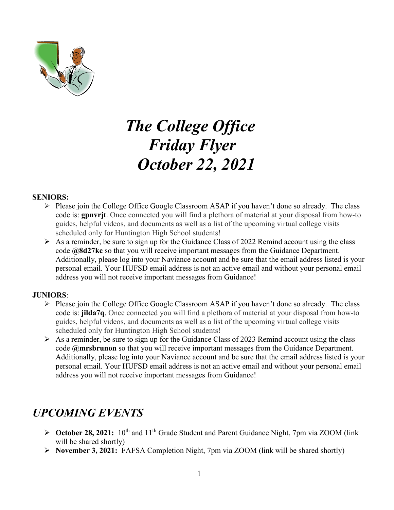

# *The College Office Friday Flyer October 22, 2021*

#### **SENIORS:**

- $\triangleright$  Please join the College Office Google Classroom ASAP if you haven't done so already. The class code is: **gpnvrjt**. Once connected you will find a plethora of material at your disposal from how-to guides, helpful videos, and documents as well as a list of the upcoming virtual college visits scheduled only for Huntington High School students!
- $\triangleright$  As a reminder, be sure to sign up for the Guidance Class of 2022 Remind account using the class code **@8d27kc** so that you will receive important messages from the Guidance Department. Additionally, please log into your Naviance account and be sure that the email address listed is your personal email. Your HUFSD email address is not an active email and without your personal email address you will not receive important messages from Guidance!

#### **JUNIORS**:

- $\triangleright$  Please join the College Office Google Classroom ASAP if you haven't done so already. The class code is: **jilda7q**. Once connected you will find a plethora of material at your disposal from how-to guides, helpful videos, and documents as well as a list of the upcoming virtual college visits scheduled only for Huntington High School students!
- $\triangleright$  As a reminder, be sure to sign up for the Guidance Class of 2023 Remind account using the class code **@mrsbrunon** so that you will receive important messages from the Guidance Department. Additionally, please log into your Naviance account and be sure that the email address listed is your personal email. Your HUFSD email address is not an active email and without your personal email address you will not receive important messages from Guidance!

### *UPCOMING EVENTS*

- **► October 28, 2021:** 10<sup>th</sup> and 11<sup>th</sup> Grade Student and Parent Guidance Night, 7pm via ZOOM (link will be shared shortly)
- **November 3, 2021:** FAFSA Completion Night, 7pm via ZOOM (link will be shared shortly)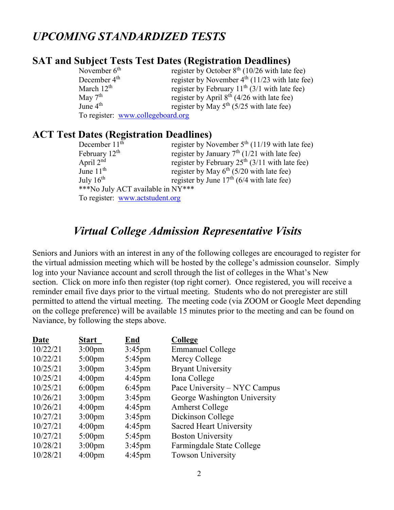### *UPCOMING STANDARDIZED TESTS*

### **SAT and Subject Tests Test Dates (Registration Deadlines)**

| November $6th$           | register by October $8th$ (10/26 with late fee)    |
|--------------------------|----------------------------------------------------|
| December 4 <sup>th</sup> | register by November $4th$ (11/23 with late fee)   |
| March $12^{th}$          | register by February $11^{th}$ (3/1 with late fee) |
| May $7th$                | register by April $8th$ (4/26 with late fee)       |
| June $4th$               | register by May $5^{th}$ (5/25 with late fee)      |
|                          | To register: www.collegeboard.org                  |

### **ACT Test Dates (Registration Deadlines)**

| December $11th$                   | register by November $5th$ (11/19 with late fee) |
|-----------------------------------|--------------------------------------------------|
| February $12th$                   | register by January $7th$ (1/21 with late fee)   |
| April $2nd$                       | register by February $25th$ (3/11 with late fee) |
| June $11th$                       | register by May $6th$ (5/20 with late fee)       |
| July $16^{\text{th}}$             | register by June $17th$ (6/4 with late fee)      |
| ***No July ACT available in NY*** |                                                  |
| To register: www.actstudent.org   |                                                  |

### *Virtual College Admission Representative Visits*

Seniors and Juniors with an interest in any of the following colleges are encouraged to register for the virtual admission meeting which will be hosted by the college's admission counselor. Simply log into your Naviance account and scroll through the list of colleges in the What's New section. Click on more info then register (top right corner). Once registered, you will receive a reminder email five days prior to the virtual meeting. Students who do not preregister are still permitted to attend the virtual meeting. The meeting code (via ZOOM or Google Meet depending on the college preference) will be available 15 minutes prior to the meeting and can be found on Naviance, by following the steps above.

| Date     | <b>Start</b>       | End              | College                        |
|----------|--------------------|------------------|--------------------------------|
| 10/22/21 | 3:00 <sub>pm</sub> | $3:45$ pm        | <b>Emmanuel College</b>        |
| 10/22/21 | $5:00 \text{pm}$   | $5:45$ pm        | Mercy College                  |
| 10/25/21 | 3:00 <sub>pm</sub> | $3:45$ pm        | <b>Bryant University</b>       |
| 10/25/21 | $4:00 \text{pm}$   | $4:45$ pm        | Iona College                   |
| 10/25/21 | $6:00 \text{pm}$   | $6:45$ pm        | Pace University – NYC Campus   |
| 10/26/21 | $3:00 \text{pm}$   | $3:45$ pm        | George Washington University   |
| 10/26/21 | $4:00 \text{pm}$   | $4:45 \text{pm}$ | <b>Amherst College</b>         |
| 10/27/21 | $3:00 \text{pm}$   | $3:45$ pm        | Dickinson College              |
| 10/27/21 | 4:00 <sub>pm</sub> | $4:45 \text{pm}$ | <b>Sacred Heart University</b> |
| 10/27/21 | $5:00 \text{pm}$   | $5:45 \text{pm}$ | <b>Boston University</b>       |
| 10/28/21 | $3:00 \text{pm}$   | $3:45$ pm        | Farmingdale State College      |
| 10/28/21 | 4:00 <sub>pm</sub> | $4:45$ pm        | <b>Towson University</b>       |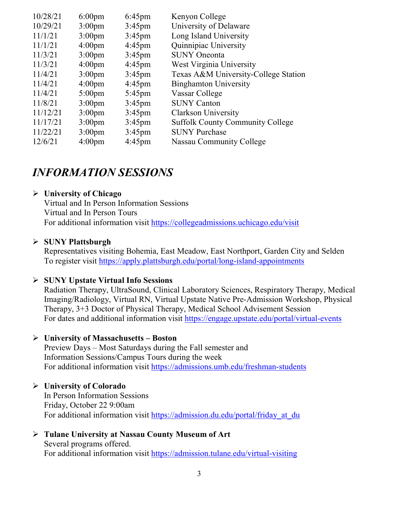| 10/28/21 | $6:00 \text{pm}$   | $6:45$ pm        | Kenyon College                          |
|----------|--------------------|------------------|-----------------------------------------|
| 10/29/21 | $3:00 \text{pm}$   | $3:45 \text{pm}$ | University of Delaware                  |
| 11/1/21  | 3:00 <sub>pm</sub> | $3:45 \text{pm}$ | Long Island University                  |
| 11/1/21  | $4:00 \text{pm}$   | $4:45 \text{pm}$ | Quinnipiac University                   |
| 11/3/21  | $3:00 \text{pm}$   | $3:45$ pm        | <b>SUNY Oneonta</b>                     |
| 11/3/21  | 4:00 <sub>pm</sub> | $4:45 \text{pm}$ | West Virginia University                |
| 11/4/21  | $3:00 \text{pm}$   | $3:45$ pm        | Texas A&M University-College Station    |
| 11/4/21  | 4:00 <sub>pm</sub> | $4:45 \text{pm}$ | <b>Binghamton University</b>            |
| 11/4/21  | $5:00 \text{pm}$   | $5:45 \text{pm}$ | Vassar College                          |
| 11/8/21  | $3:00 \text{pm}$   | $3:45$ pm        | <b>SUNY Canton</b>                      |
| 11/12/21 | 3:00 <sub>pm</sub> | $3:45$ pm        | <b>Clarkson University</b>              |
| 11/17/21 | $3:00 \text{pm}$   | $3:45 \text{pm}$ | <b>Suffolk County Community College</b> |
| 11/22/21 | $3:00 \text{pm}$   | $3:45$ pm        | <b>SUNY Purchase</b>                    |
| 12/6/21  | 4:00 <sub>pm</sub> | $4:45$ pm        | Nassau Community College                |

### *INFORMATION SESSIONS*

### **University of Chicago**

Virtual and In Person Information Sessions Virtual and In Person Tours For additional information visit<https://collegeadmissions.uchicago.edu/visit>

### **SUNY Plattsburgh**

Representatives visiting Bohemia, East Meadow, East Northport, Garden City and Selden To register visit<https://apply.plattsburgh.edu/portal/long-island-appointments>

### **SUNY Upstate Virtual Info Sessions**

Radiation Therapy, UltraSound, Clinical Laboratory Sciences, Respiratory Therapy, Medical Imaging/Radiology, Virtual RN, Virtual Upstate Native Pre-Admission Workshop, Physical Therapy, 3+3 Doctor of Physical Therapy, Medical School Advisement Session For dates and additional information visit<https://engage.upstate.edu/portal/virtual-events>

#### **University of Massachusetts – Boston**

Preview Days – Most Saturdays during the Fall semester and Information Sessions/Campus Tours during the week For additional information visit<https://admissions.umb.edu/freshman-students>

### **University of Colorado**

In Person Information Sessions Friday, October 22 9:00am For additional information visit [https://admission.du.edu/portal/friday\\_at\\_du](https://admission.du.edu/portal/friday_at_du)

#### **Tulane University at Nassau County Museum of Art** Several programs offered. For additional information visit<https://admission.tulane.edu/virtual-visiting>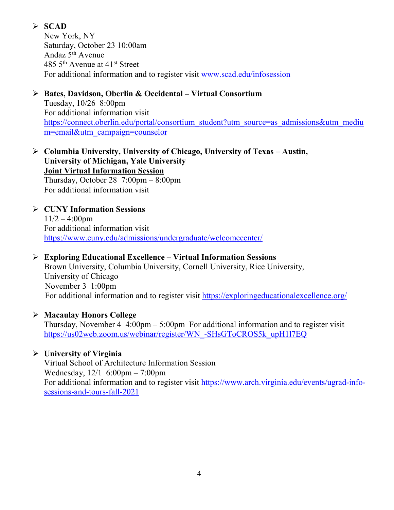### **SCAD**

New York, NY Saturday, October 23 10:00am Andaz 5th Avenue 485 5th Avenue at 41st Street For additional information and to register visit [www.scad.edu/infosession](http://www.scad.edu/infosession)

### **Bates, Davidson, Oberlin & Occidental – Virtual Consortium** Tuesday, 10/26 8:00pm For additional information visit

[https://connect.oberlin.edu/portal/consortium\\_student?utm\\_source=as\\_admissions&utm\\_mediu](https://connect.oberlin.edu/portal/consortium_student?utm_source=as_admissions&utm_medium=email&utm_campaign=counselor) [m=email&utm\\_campaign=counselor](https://connect.oberlin.edu/portal/consortium_student?utm_source=as_admissions&utm_medium=email&utm_campaign=counselor)

 **Columbia University, University of Chicago, University of Texas – Austin, University of Michigan, Yale University Joint Virtual Information Session** Thursday, October 28 7:00pm – 8:00pm For additional information visit

### **CUNY Information Sessions**  $11/2 - 4:00$ pm For additional information visit <https://www.cuny.edu/admissions/undergraduate/welcomecenter/>

### **Exploring Educational Excellence – Virtual Information Sessions**

Brown University, Columbia University, Cornell University, Rice University, University of Chicago November 3 1:00pm For additional information and to register visit<https://exploringeducationalexcellence.org/>

### **Macaulay Honors College**

Thursday, November  $4 \cdot 4:00 \text{pm} - 5:00 \text{pm}$  For additional information and to register visit [https://us02web.zoom.us/webinar/register/WN\\_-SHsGToCROS5k\\_upH1l7EQ](https://us02web.zoom.us/webinar/register/WN_-SHsGToCROS5k_upH1l7EQ)

### **University of Virginia**

Virtual School of Architecture Information Session Wednesday, 12/1 6:00pm – 7:00pm For additional information and to register visit [https://www.arch.virginia.edu/events/ugrad-info](https://www.arch.virginia.edu/events/ugrad-info-sessions-and-tours-fall-2021)[sessions-and-tours-fall-2021](https://www.arch.virginia.edu/events/ugrad-info-sessions-and-tours-fall-2021)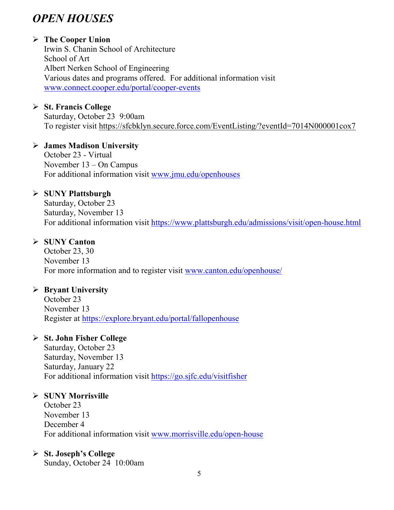# *OPEN HOUSES*

### **The Cooper Union**

Irwin S. Chanin School of Architecture School of Art Albert Nerken School of Engineering Various dates and programs offered. For additional information visit [www.connect.cooper.edu/portal/cooper-events](http://www.connect.cooper.edu/portal/cooper-events)

### **St. Francis College**

Saturday, October 23 9:00am To register visit<https://sfcbklyn.secure.force.com/EventListing/?eventId=7014N000001cox7>

### **James Madison University**

October 23 - Virtual November 13 – On Campus For additional information visit [www.jmu.edu/openhouses](http://www.jmu.edu/openhouses)

### **SUNY Plattsburgh**

Saturday, October 23 Saturday, November 13 For additional information visit<https://www.plattsburgh.edu/admissions/visit/open-house.html>

### **SUNY Canton**

October 23, 30 November 13 For more information and to register visit [www.canton.edu/openhouse/](http://www.canton.edu/openhouse/)

### **Bryant University**

October 23 November 13 Register at<https://explore.bryant.edu/portal/fallopenhouse>

### **St. John Fisher College**

Saturday, October 23 Saturday, November 13 Saturday, January 22 For additional information visit<https://go.sjfc.edu/visitfisher>

### **SUNY Morrisville**

October 23 November 13 December 4 For additional information visit [www.morrisville.edu/open-house](http://www.morrisville.edu/open-house)

### **St. Joseph's College**

Sunday, October 24 10:00am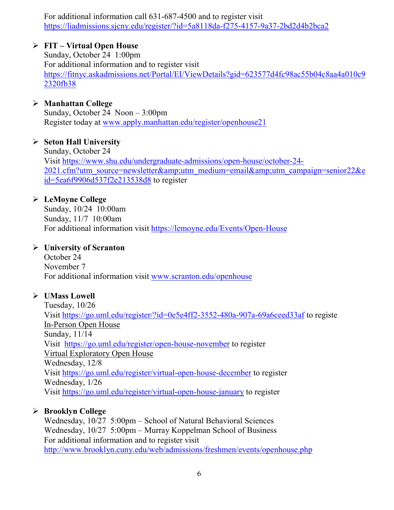For additional information call 631-687-4500 and to register visit <https://liadmissions.sjcny.edu/register/?id=5a8118da-f275-4157-9a37-2bd2d4b2bca2>

### **FIT – Virtual Open House**

Sunday, October 24 1:00pm For additional information and to register visit [https://fitnyc.askadmissions.net/Portal/EI/ViewDetails?gid=623577d4fc98ac55b04c8aa4a010c9](https://fitnyc.askadmissions.net/Portal/EI/ViewDetails?gid=623577d4fc98ac55b04c8aa4a010c92320fb38) [2320fb38](https://fitnyc.askadmissions.net/Portal/EI/ViewDetails?gid=623577d4fc98ac55b04c8aa4a010c92320fb38)

### **Manhattan College**

Sunday, October 24 Noon – 3:00pm Register today at [www.apply.manhattan.edu/register/openhouse21](http://www.apply.manhattan.edu/register/openhouse21) 

### **Seton Hall University**

Sunday, October 24 Visit [https://www.shu.edu/undergraduate-admissions/open-house/october-24-](https://www.shu.edu/undergraduate-admissions/open-house/october-24-2021.cfm?utm_source=newsletter&utm_medium=email&utm_campaign=senior22&eid=5ea6f9906d537f2e213538d8) [2021.cfm?utm\\_source=newsletter&utm\\_medium=email&utm\\_campaign=senior22&e](https://www.shu.edu/undergraduate-admissions/open-house/october-24-2021.cfm?utm_source=newsletter&utm_medium=email&utm_campaign=senior22&eid=5ea6f9906d537f2e213538d8) [id=5ea6f9906d537f2e213538d8](https://www.shu.edu/undergraduate-admissions/open-house/october-24-2021.cfm?utm_source=newsletter&utm_medium=email&utm_campaign=senior22&eid=5ea6f9906d537f2e213538d8) to register

### **LeMoyne College**

Sunday, 10/24 10:00am Sunday, 11/7 10:00am For additional information visit<https://lemoyne.edu/Events/Open-House>

### **University of Scranton**

October 24 November 7 For additional information visit [www.scranton.edu/openhouse](http://www.scranton.edu/openhouse)

### **UMass Lowell**

Tuesday, 10/26 Visit<https://go.uml.edu/register/?id=0e5e4ff2-3552-480a-907a-69a6ceed33af> to registe In-Person Open House Sunday, 11/14 Visit <https://go.uml.edu/register/open-house-november> to register Virtual Exploratory Open House Wednesday, 12/8 Visit<https://go.uml.edu/register/virtual-open-house-december> to register Wednesday, 1/26 Visit<https://go.uml.edu/register/virtual-open-house-january> to register

### **Brooklyn College**

Wednesday, 10/27 5:00pm – School of Natural Behavioral Sciences Wednesday, 10/27 5:00pm – Murray Koppelman School of Business For additional information and to register visit <http://www.brooklyn.cuny.edu/web/admissions/freshmen/events/openhouse.php>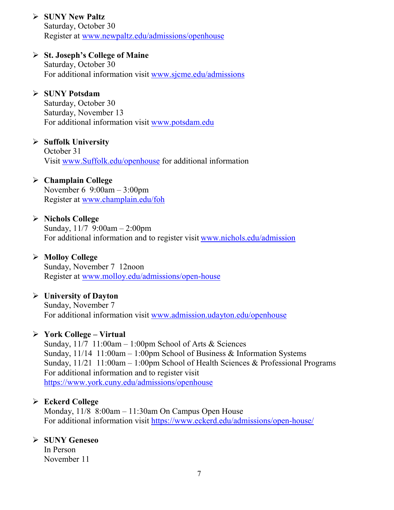### **SUNY New Paltz**

Saturday, October 30 Register at [www.newpaltz.edu/admissions/openhouse](http://www.newpaltz.edu/admissions/openhouse)

### **St. Joseph's College of Maine**

Saturday, October 30 For additional information visit [www.sjcme.edu/admissions](http://www.sjcme.edu/admissions) 

### **SUNY Potsdam**

Saturday, October 30 Saturday, November 13 For additional information visit [www.potsdam.edu](http://www.potsdam.edu/)

### **Suffolk University**

October 31 Visit [www.Suffolk.edu/openhouse](http://www.suffolk.edu/openhouse) for additional information

#### **Champlain College**

November 6 9:00am – 3:00pm Register at [www.champlain.edu/foh](http://www.champlain.edu/foh)

### **Nichols College**

Sunday,  $11/7$  9:00am - 2:00pm For additional information and to register visit [www.nichols.edu/admission](http://www.nichols.edu/admission)

#### **Molloy College**

Sunday, November 7 12noon Register at [www.molloy.edu/admissions/open-house](http://www.molloy.edu/admissions/open-house)

### **University of Dayton**

Sunday, November 7 For additional information visit [www.admission.udayton.edu/openhouse](http://www.admission.udayton.edu/openhouse)

#### **York College – Virtual**

Sunday,  $11/7$  11:00am – 1:00pm School of Arts & Sciences Sunday,  $11/14$  11:00am – 1:00pm School of Business & Information Systems Sunday, 11/21 11:00am – 1:00pm School of Health Sciences & Professional Programs For additional information and to register visit <https://www.york.cuny.edu/admissions/openhouse>

### **Eckerd College**

Monday, 11/8 8:00am – 11:30am On Campus Open House For additional information visit<https://www.eckerd.edu/admissions/open-house/>

### **SUNY Geneseo**

In Person November 11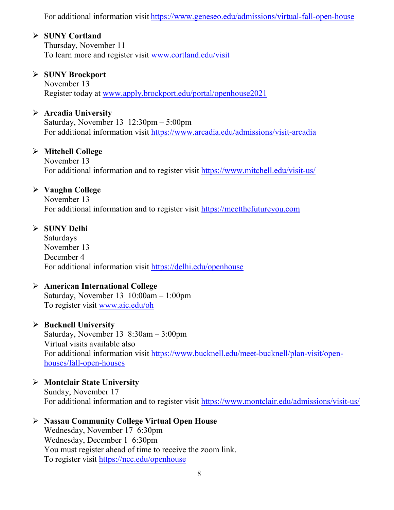For additional information visit <https://www.geneseo.edu/admissions/virtual-fall-open-house>

### **SUNY Cortland**

Thursday, November 11 To learn more and register visit [www.cortland.edu/visit](http://www.cortland.edu/visit)

### **SUNY Brockport**

November 13 Register today at [www.apply.brockport.edu/portal/openhouse2021](http://www.apply.brockport.edu/portal/openhouse2021)

### **Arcadia University**

Saturday, November 13 12:30pm – 5:00pm For additional information visit<https://www.arcadia.edu/admissions/visit-arcadia>

### **Mitchell College**

November 13 For additional information and to register visit<https://www.mitchell.edu/visit-us/>

### **Vaughn College**

November 13 For additional information and to register visit [https://meetthefutureyou.com](https://meetthefutureyou.com/)

### **SUNY Delhi**

Saturdays November 13 December 4 For additional information visit<https://delhi.edu/openhouse>

### **American International College**

Saturday, November 13 10:00am – 1:00pm To register visit [www.aic.edu/oh](http://www.aic.edu/oh)

### **Bucknell University**

Saturday, November 13 8:30am – 3:00pm Virtual visits available also For additional information visit [https://www.bucknell.edu/meet-bucknell/plan-visit/open](https://www.bucknell.edu/meet-bucknell/plan-visit/open-houses/fall-open-houses)[houses/fall-open-houses](https://www.bucknell.edu/meet-bucknell/plan-visit/open-houses/fall-open-houses)

### **Montclair State University**

Sunday, November 17 For additional information and to register visit<https://www.montclair.edu/admissions/visit-us/>

#### **Nassau Community College Virtual Open House**

Wednesday, November 17 6:30pm Wednesday, December 1 6:30pm You must register ahead of time to receive the zoom link. To register visit<https://ncc.edu/openhouse>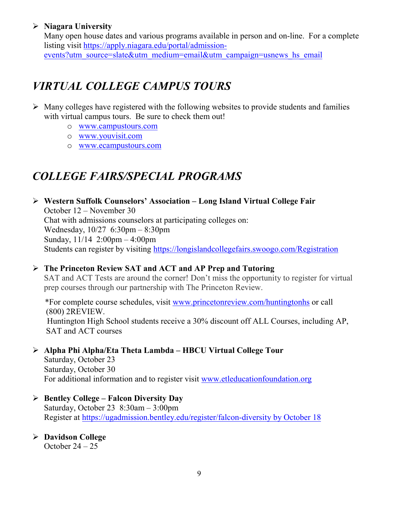### **Niagara University**

Many open house dates and various programs available in person and on-line. For a complete listing visit [https://apply.niagara.edu/portal/admission](https://apply.niagara.edu/portal/admission-events?utm_source=slate&utm_medium=email&utm_campaign=usnews_hs_email)[events?utm\\_source=slate&utm\\_medium=email&utm\\_campaign=usnews\\_hs\\_email](https://apply.niagara.edu/portal/admission-events?utm_source=slate&utm_medium=email&utm_campaign=usnews_hs_email)

# *VIRTUAL COLLEGE CAMPUS TOURS*

- $\triangleright$  Many colleges have registered with the following websites to provide students and families with virtual campus tours. Be sure to check them out!
	- o [www.campustours.com](http://www.campustours.com/)
	- o [www.youvisit.com](http://www.youvisit.com/)
	- o [www.ecampustours.com](http://www.ecampustours.com/)

# *COLLEGE FAIRS/SPECIAL PROGRAMS*

 **Western Suffolk Counselors' Association – Long Island Virtual College Fair** October 12 – November 30 Chat with admissions counselors at participating colleges on: Wednesday, 10/27 6:30pm – 8:30pm Sunday, 11/14 2:00pm – 4:00pm Students can register by visiting<https://longislandcollegefairs.swoogo.com/Registration>

 **The Princeton Review SAT and ACT and AP Prep and Tutoring** SAT and ACT Tests are around the corner! Don't miss the opportunity to register for virtual prep courses through our partnership with The Princeton Review.

 \*For complete course schedules, visit [www.princetonreview.com/huntingtonhs](http://www.princetonreview.com/huntingtonhs) or call (800) 2REVIEW. Huntington High School students receive a 30% discount off ALL Courses, including AP, SAT and ACT courses

### **Alpha Phi Alpha/Eta Theta Lambda – HBCU Virtual College Tour**

Saturday, October 23 Saturday, October 30 For additional information and to register visit [www.etleducationfoundation.org](http://www.etleducationfoundation.org/)

### **Bentley College – Falcon Diversity Day**

Saturday, October 23 8:30am – 3:00pm Register at [https://ugadmission.bentley.edu/register/falcon-diversity by October 18](https://ugadmission.bentley.edu/register/falcon-diversity%20by%20October%2018)

**Davidson College**

October  $24 - 25$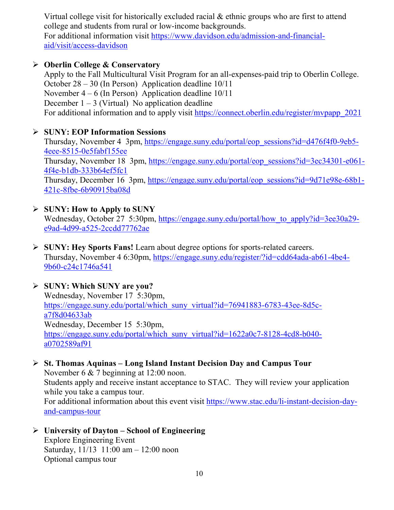Virtual college visit for historically excluded racial & ethnic groups who are first to attend college and students from rural or low-income backgrounds.

For additional information visit [https://www.davidson.edu/admission-and-financial](https://www.davidson.edu/admission-and-financial-aid/visit/access-davidson)[aid/visit/access-davidson](https://www.davidson.edu/admission-and-financial-aid/visit/access-davidson)

### **Oberlin College & Conservatory**

Apply to the Fall Multicultural Visit Program for an all-expenses-paid trip to Oberlin College. October 28 – 30 (In Person) Application deadline 10/11 November  $4 - 6$  (In Person) Application deadline  $10/11$ December  $1 - 3$  (Virtual) No application deadline For additional information and to apply visit [https://connect.oberlin.edu/register/mvpapp\\_2021](https://connect.oberlin.edu/register/mvpapp_2021)

### **SUNY: EOP Information Sessions**

Thursday, November 4 3pm, [https://engage.suny.edu/portal/eop\\_sessions?id=d476f4f0-9eb5-](https://engage.suny.edu/portal/eop_sessions?id=d476f4f0-9eb5-4eee-8515-0e5fabf155ee) [4eee-8515-0e5fabf155ee](https://engage.suny.edu/portal/eop_sessions?id=d476f4f0-9eb5-4eee-8515-0e5fabf155ee) Thursday, November 18 3pm, [https://engage.suny.edu/portal/eop\\_sessions?id=3ec34301-e061-](https://engage.suny.edu/portal/eop_sessions?id=3ec34301-e061-4f4e-b1db-333b64ef5fc1) [4f4e-b1db-333b64ef5fc1](https://engage.suny.edu/portal/eop_sessions?id=3ec34301-e061-4f4e-b1db-333b64ef5fc1) Thursday, December 16 3pm, [https://engage.suny.edu/portal/eop\\_sessions?id=9d71e98e-68b1-](https://engage.suny.edu/portal/eop_sessions?id=9d71e98e-68b1-421c-8fbe-6b90915ba08d) [421c-8fbe-6b90915ba08d](https://engage.suny.edu/portal/eop_sessions?id=9d71e98e-68b1-421c-8fbe-6b90915ba08d)

### **SUNY: How to Apply to SUNY**

Wednesday, October 27 5:30pm, [https://engage.suny.edu/portal/how\\_to\\_apply?id=3ee30a29](https://engage.suny.edu/portal/how_to_apply?id=3ee30a29-e9ad-4d99-a525-2ccdd77762ae) [e9ad-4d99-a525-2ccdd77762ae](https://engage.suny.edu/portal/how_to_apply?id=3ee30a29-e9ad-4d99-a525-2ccdd77762ae)

 **SUNY: Hey Sports Fans!** Learn about degree options for sports-related careers. Thursday, November 4 6:30pm, [https://engage.suny.edu/register/?id=cdd64ada-ab61-4be4-](https://engage.suny.edu/register/?id=cdd64ada-ab61-4be4-9b60-c24c1746a541) [9b60-c24c1746a541](https://engage.suny.edu/register/?id=cdd64ada-ab61-4be4-9b60-c24c1746a541)

### **SUNY: Which SUNY are you?**

Wednesday, November 17 5:30pm, [https://engage.suny.edu/portal/which\\_suny\\_virtual?id=76941883-6783-43ee-8d5c](https://engage.suny.edu/portal/which_suny_virtual?id=76941883-6783-43ee-8d5c-a7f8d04633ab)[a7f8d04633ab](https://engage.suny.edu/portal/which_suny_virtual?id=76941883-6783-43ee-8d5c-a7f8d04633ab) Wednesday, December 15 5:30pm, [https://engage.suny.edu/portal/which\\_suny\\_virtual?id=1622a0c7-8128-4cd8-b040](https://engage.suny.edu/portal/which_suny_virtual?id=1622a0c7-8128-4cd8-b040-a0702589af91) [a0702589af91](https://engage.suny.edu/portal/which_suny_virtual?id=1622a0c7-8128-4cd8-b040-a0702589af91)

### **St. Thomas Aquinas – Long Island Instant Decision Day and Campus Tour**

November 6 & 7 beginning at 12:00 noon. Students apply and receive instant acceptance to STAC. They will review your application while you take a campus tour.

For additional information about this event visit [https://www.stac.edu/li-instant-decision-day](https://www.stac.edu/li-instant-decision-day-and-campus-tour)[and-campus-tour](https://www.stac.edu/li-instant-decision-day-and-campus-tour)

### **University of Dayton – School of Engineering**

Explore Engineering Event Saturday, 11/13 11:00 am – 12:00 noon Optional campus tour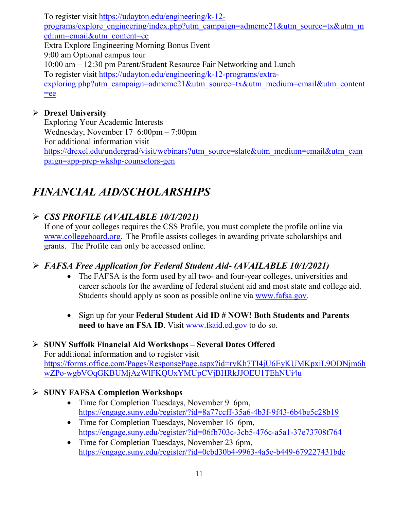To register visit [https://udayton.edu/engineering/k-12](https://udayton.edu/engineering/k-12-programs/explore_engineering/index.php?utm_campaign=admemc21&utm_source=tx&utm_medium=email&utm_content=ee) [programs/explore\\_engineering/index.php?utm\\_campaign=admemc21&utm\\_source=tx&utm\\_m](https://udayton.edu/engineering/k-12-programs/explore_engineering/index.php?utm_campaign=admemc21&utm_source=tx&utm_medium=email&utm_content=ee) [edium=email&utm\\_content=ee](https://udayton.edu/engineering/k-12-programs/explore_engineering/index.php?utm_campaign=admemc21&utm_source=tx&utm_medium=email&utm_content=ee) Extra Explore Engineering Morning Bonus Event 9:00 am Optional campus tour 10:00 am – 12:30 pm Parent/Student Resource Fair Networking and Lunch To register visit [https://udayton.edu/engineering/k-12-programs/extra](https://udayton.edu/engineering/k-12-programs/extra-exploring.php?utm_campaign=admemc21&utm_source=tx&utm_medium=email&utm_content=ee)[exploring.php?utm\\_campaign=admemc21&utm\\_source=tx&utm\\_medium=email&utm\\_content](https://udayton.edu/engineering/k-12-programs/extra-exploring.php?utm_campaign=admemc21&utm_source=tx&utm_medium=email&utm_content=ee)  $=$ ee

### **Drexel University**

Exploring Your Academic Interests Wednesday, November 17 6:00pm – 7:00pm For additional information visit [https://drexel.edu/undergrad/visit/webinars?utm\\_source=slate&utm\\_medium=email&utm\\_cam](https://drexel.edu/undergrad/visit/webinars?utm_source=slate&utm_medium=email&utm_campaign=app-prep-wkshp-counselors-gen) [paign=app-prep-wkshp-counselors-gen](https://drexel.edu/undergrad/visit/webinars?utm_source=slate&utm_medium=email&utm_campaign=app-prep-wkshp-counselors-gen)

# *FINANCIAL AID/SCHOLARSHIPS*

### *CSS PROFILE (AVAILABLE 10/1/2021)*

If one of your colleges requires the CSS Profile, you must complete the profile online via [www.collegeboard.org](http://www.collegeboard.org/). The Profile assists colleges in awarding private scholarships and grants. The Profile can only be accessed online.

### *FAFSA Free Application for Federal Student Aid- (AVAILABLE 10/1/2021)*

- The FAFSA is the form used by all two- and four-year colleges, universities and career schools for the awarding of [federal student aid](http://studentaid.ed.gov/students/publications/student_guide/2010-2011/english/typesofFSA_grants.htm) and most state and college aid. Students should apply as soon as possible online via [www.fafsa.gov.](http://www.fafsa.gov/)
- Sign up for your **Federal Student Aid ID # NOW! Both Students and Parents need to have an FSA ID**. Visit [www.fsaid.ed.gov](http://www.fsaid.ed.gov/) to do so.

### **SUNY Suffolk Financial Aid Workshops – Several Dates Offered**

For additional information and to register visit [https://forms.office.com/Pages/ResponsePage.aspx?id=rvKh7TI4jU6EyKUMKpxiL9ODNjm6h](https://forms.office.com/Pages/ResponsePage.aspx?id=rvKh7TI4jU6EyKUMKpxiL9ODNjm6hwZPo-wgbVOqGKBUMjAzWlFKQUxYMUpCVjBHRkJJOEU1TEhNUi4u) [wZPo-wgbVOqGKBUMjAzWlFKQUxYMUpCVjBHRkJJOEU1TEhNUi4u](https://forms.office.com/Pages/ResponsePage.aspx?id=rvKh7TI4jU6EyKUMKpxiL9ODNjm6hwZPo-wgbVOqGKBUMjAzWlFKQUxYMUpCVjBHRkJJOEU1TEhNUi4u)

### **SUNY FAFSA Completion Workshops**

- Time for Completion Tuesdays, November 9 6pm, <https://engage.suny.edu/register/?id=8a77ccff-35a6-4b3f-9f43-6b4be5c28b19>
- Time for Completion Tuesdays, November 16 6pm, <https://engage.suny.edu/register/?id=06fb703c-3cb5-476c-a5a1-37e73708f764>
- Time for Completion Tuesdays, November 23 6pm, <https://engage.suny.edu/register/?id=0cbd30b4-9963-4a5e-b449-679227431bde>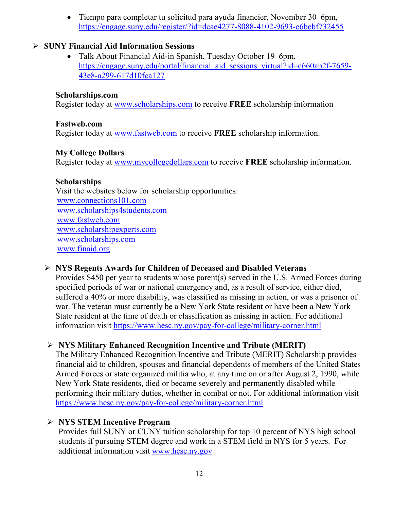• Tiempo para completar tu solicitud para ayuda financier, November 30 6pm, <https://engage.suny.edu/register/?id=dcae4277-8088-4102-9693-e6bebf732455>

### **SUNY Financial Aid Information Sessions**

• Talk About Financial Aid-in Spanish, Tuesday October 19 6pm, [https://engage.suny.edu/portal/financial\\_aid\\_sessions\\_virtual?id=c660ab2f-7659-](https://engage.suny.edu/portal/financial_aid_sessions_virtual?id=c660ab2f-7659-43e8-a299-617d10fca127) [43e8-a299-617d10fca127](https://engage.suny.edu/portal/financial_aid_sessions_virtual?id=c660ab2f-7659-43e8-a299-617d10fca127) 

### **Scholarships.com**

Register today at [www.scholarships.com](http://www.scholarships.com/) to receive **FREE** scholarship information

### **Fastweb.com**

Register today at [www.fastweb.com](http://www.fastweb.com/) to receive **FREE** scholarship information.

### **My College Dollars**

Register today at [www.mycollegedollars.com](http://www.mycollegedollars.com/) to receive **FREE** scholarship information.

### **Scholarships**

 Visit the websites below for scholarship opportunities: [www.connections101.com](http://www.connections101.com/) [www.scholarships4students.com](http://www.scholarships4students.com/) [www.fastweb.com](http://www.fastweb.com/) [www.scholarshipexperts.com](http://www.scholarshipexperts.com/) [www.scholarships.com](http://www.scholarships.com/) [www.finaid.org](http://www.finaid.org/)

### **NYS Regents Awards for Children of Deceased and Disabled Veterans**

Provides \$450 per year to students whose parent(s) served in the U.S. Armed Forces during specified periods of war or national emergency and, as a result of service, either died, suffered a 40% or more disability, was classified as missing in action, or was a prisoner of war. The veteran must currently be a New York State resident or have been a New York State resident at the time of death or classification as missing in action. For additional information visit<https://www.hesc.ny.gov/pay-for-college/military-corner.html>

### **NYS Military Enhanced Recognition Incentive and Tribute (MERIT)**

The Military Enhanced Recognition Incentive and Tribute (MERIT) Scholarship provides financial aid to children, spouses and financial dependents of members of the United States Armed Forces or state organized militia who, at any time on or after August 2, 1990, while New York State residents, died or became severely and permanently disabled while performing their military duties, whether in combat or not. For additional information visit <https://www.hesc.ny.gov/pay-for-college/military-corner.html>

### **NYS STEM Incentive Program**

Provides full SUNY or CUNY tuition scholarship for top 10 percent of NYS high school students if pursuing STEM degree and work in a STEM field in NYS for 5 years. For additional information visit [www.hesc.ny.gov](http://www.hesc.ny.gov/)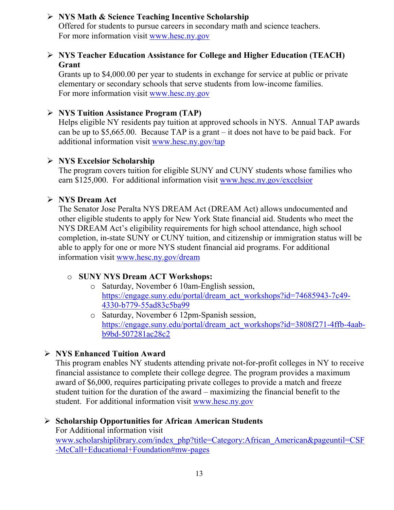### **NYS Math & Science Teaching Incentive Scholarship**

Offered for students to pursue careers in secondary math and science teachers. For more information visit [www.hesc.ny.gov](http://www.hesc.ny.gov/)

### **NYS Teacher Education Assistance for College and Higher Education (TEACH) Grant**

Grants up to \$4,000.00 per year to students in exchange for service at public or private elementary or secondary schools that serve students from low-income families. For more information visit [www.hesc.ny.gov](http://www.hesc.ny.gov/) 

### **NYS Tuition Assistance Program (TAP)**

Helps eligible NY residents pay tuition at approved schools in NYS. Annual TAP awards can be up to \$5,665.00. Because TAP is a grant – it does not have to be paid back. For additional information visit [www.hesc.ny.gov/tap](http://www.hesc.ny.gov/tap)

### **NYS Excelsior Scholarship**

The program covers tuition for eligible SUNY and CUNY students whose families who earn \$125,000. For additional information visit [www.hesc.ny.gov/](http://www.hesc.ny.gov/)excelsior

### **NYS Dream Act**

The Senator Jose Peralta NYS DREAM Act (DREAM Act) allows undocumented and other eligible students to apply for New York State financial aid. Students who meet the NYS DREAM Act's eligibility requirements for high school attendance, high school completion, in-state SUNY or CUNY tuition, and citizenship or immigration status will be able to apply for one or more NYS student financial aid programs. For additional information visit [www.hesc.ny.gov/dream](http://www.hesc.ny.gov/dream)

### o **SUNY NYS Dream ACT Workshops:**

- o Saturday, November 6 10am-English session, [https://engage.suny.edu/portal/dream\\_act\\_workshops?id=74685943-7c49-](https://engage.suny.edu/portal/dream_act_workshops?id=74685943-7c49-4330-b779-55ad83c5ba99) [4330-b779-55ad83c5ba99](https://engage.suny.edu/portal/dream_act_workshops?id=74685943-7c49-4330-b779-55ad83c5ba99)
- o Saturday, November 6 12pm-Spanish session, [https://engage.suny.edu/portal/dream\\_act\\_workshops?id=3808f271-4ffb-4aab](https://engage.suny.edu/portal/dream_act_workshops?id=3808f271-4ffb-4aab-b9bd-507281ac28c2)[b9bd-507281ac28c2](https://engage.suny.edu/portal/dream_act_workshops?id=3808f271-4ffb-4aab-b9bd-507281ac28c2)

### **NYS Enhanced Tuition Award**

This program enables NY students attending private not-for-profit colleges in NY to receive financial assistance to complete their college degree. The program provides a maximum award of \$6,000, requires participating private colleges to provide a match and freeze student tuition for the duration of the award – maximizing the financial benefit to the student. For additional information visit [www.hesc.ny.gov](http://www.hesc.ny.gov/)

### **Scholarship Opportunities for African American Students**

For Additional information visit [www.scholarshiplibrary.com/index\\_php?title=Category:African\\_American&pageuntil=CSF](http://www.scholarshiplibrary.com/index_php?title=Category:African_American&pageuntil=CSF-McCall+Educational+Foundation#mw-pages) [-McCall+Educational+Foundation#mw-pages](http://www.scholarshiplibrary.com/index_php?title=Category:African_American&pageuntil=CSF-McCall+Educational+Foundation#mw-pages)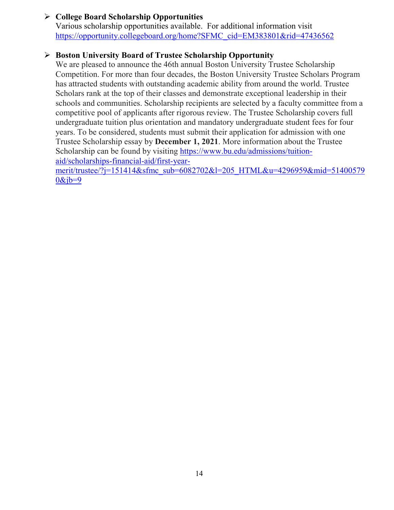### **College Board Scholarship Opportunities**

Various scholarship opportunities available. For additional information visit [https://opportunity.collegeboard.org/home?SFMC\\_cid=EM383801&rid=47436562](https://opportunity.collegeboard.org/home?SFMC_cid=EM383801&rid=47436562)

### **Boston University Board of Trustee Scholarship Opportunity**

We are pleased to announce the 46th annual Boston University Trustee Scholarship Competition. For more than four decades, the Boston University Trustee Scholars Program has attracted students with outstanding academic ability from around the world. Trustee Scholars rank at the top of their classes and demonstrate exceptional leadership in their schools and communities. Scholarship recipients are selected by a faculty committee from a competitive pool of applicants after rigorous review. The Trustee Scholarship covers full undergraduate tuition plus orientation and mandatory undergraduate student fees for four years. To be considered, students must submit their application for admission with one Trustee Scholarship essay by **December 1, 2021**. More information about the Trustee Scholarship can be found by visiting [https://www.bu.edu/admissions/tuition](https://www.bu.edu/admissions/tuition-aid/scholarships-financial-aid/first-year-merit/trustee/?j=151414&sfmc_sub=6082702&l=205_HTML&u=4296959&mid=514005790&jb=9)[aid/scholarships-financial-aid/first-year](https://www.bu.edu/admissions/tuition-aid/scholarships-financial-aid/first-year-merit/trustee/?j=151414&sfmc_sub=6082702&l=205_HTML&u=4296959&mid=514005790&jb=9)[merit/trustee/?j=151414&sfmc\\_sub=6082702&l=205\\_HTML&u=4296959&mid=51400579](https://www.bu.edu/admissions/tuition-aid/scholarships-financial-aid/first-year-merit/trustee/?j=151414&sfmc_sub=6082702&l=205_HTML&u=4296959&mid=514005790&jb=9)

 $0&jb=9$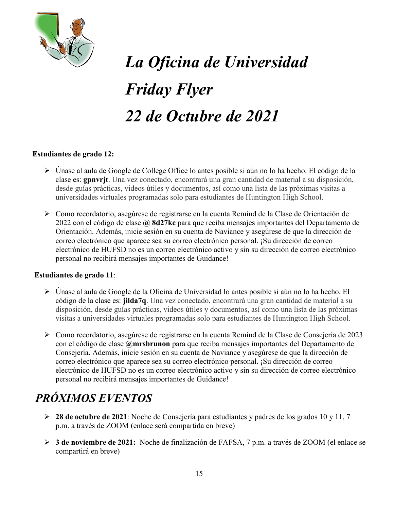

# *La Oficina de Universidad Friday Flyer 22 de Octubre de 2021*

### **Estudiantes de grado 12:**

- Únase al aula de Google de College Office lo antes posible si aún no lo ha hecho. El código de la clase es: **gpnvrjt**. Una vez conectado, encontrará una gran cantidad de material a su disposición, desde guías prácticas, videos útiles y documentos, así como una lista de las próximas visitas a universidades virtuales programadas solo para estudiantes de Huntington High School.
- Como recordatorio, asegúrese de registrarse en la cuenta Remind de la Clase de Orientación de 2022 con el código de clase **@ 8d27kc** para que reciba mensajes importantes del Departamento de Orientación. Además, inicie sesión en su cuenta de Naviance y asegúrese de que la dirección de correo electrónico que aparece sea su correo electrónico personal. ¡Su dirección de correo electrónico de HUFSD no es un correo electrónico activo y sin su dirección de correo electrónico personal no recibirá mensajes importantes de Guidance!

#### **Estudiantes de grado 11**:

- Únase al aula de Google de la Oficina de Universidad lo antes posible si aún no lo ha hecho. El código de la clase es: **jilda7q**. Una vez conectado, encontrará una gran cantidad de material a su disposición, desde guías prácticas, videos útiles y documentos, así como una lista de las próximas visitas a universidades virtuales programadas solo para estudiantes de Huntington High School.
- Como recordatorio, asegúrese de registrarse en la cuenta Remind de la Clase de Consejería de 2023 con el código de clase **@mrsbrunon** para que reciba mensajes importantes del Departamento de Consejería. Además, inicie sesión en su cuenta de Naviance y asegúrese de que la dirección de correo electrónico que aparece sea su correo electrónico personal. ¡Su dirección de correo electrónico de HUFSD no es un correo electrónico activo y sin su dirección de correo electrónico personal no recibirá mensajes importantes de Guidance!

# *PRÓXIMOS EVENTOS*

- **28 de octubre de 2021**: Noche de Consejería para estudiantes y padres de los grados 10 y 11, 7 p.m. a través de ZOOM (enlace será compartida en breve)
- **3 de noviembre de 2021:** Noche de finalización de FAFSA, 7 p.m. a través de ZOOM (el enlace se compartirá en breve)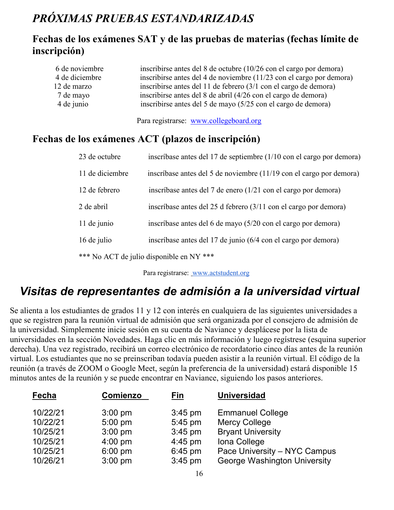# *PRÓXIMAS PRUEBAS ESTANDARIZADAS*

### **Fechas de los exámenes SAT y de las pruebas de materias (fechas límite de inscripción)**

| 6 de noviembre | inscribirse antes del 8 de octubre $(10/26 \text{ con el cargo por demora})$ |
|----------------|------------------------------------------------------------------------------|
| 4 de diciembre | inscribirse antes del 4 de noviembre (11/23 con el cargo por demora)         |
| 12 de marzo    | inscribirse antes del 11 de febrero (3/1 con el cargo de demora)             |
| 7 de mayo      | inscribirse antes del 8 de abril (4/26 con el cargo de demora)               |
| 4 de junio     | inscribirse antes del 5 de mayo (5/25 con el cargo de demora)                |
|                |                                                                              |

Para registrarse: [www.collegeboard.org](http://www.collegeboard.org/)

### **Fechas de los exámenes ACT (plazos de inscripción)**

| 23 de octubre   | inscríbase antes del 17 de septiembre (1/10 con el cargo por demora) |
|-----------------|----------------------------------------------------------------------|
| 11 de diciembre | inscríbase antes del 5 de noviembre (11/19 con el cargo por demora)  |
| 12 de febrero   | inscríbase antes del 7 de enero (1/21 con el cargo por demora)       |
| 2 de abril      | inscríbase antes del 25 d febrero (3/11 con el cargo por demora)     |
| 11 de junio     | inscríbase antes del 6 de mayo (5/20 con el cargo por demora)        |
| 16 de julio     | inscríbase antes del 17 de junio (6/4 con el cargo por demora)       |
|                 | *** No ACT de julio disponible en NY ***                             |

Para registrarse: [www.actstudent.org](http://www.actstudent.org/)

# *Visitas de representantes de admisión a la universidad virtual*

Se alienta a los estudiantes de grados 11 y 12 con interés en cualquiera de las siguientes universidades a que se registren para la reunión virtual de admisión que será organizada por el consejero de admisión de la universidad. Simplemente inicie sesión en su cuenta de Naviance y desplácese por la lista de universidades en la sección Novedades. Haga clic en más información y luego regístrese (esquina superior derecha). Una vez registrado, recibirá un correo electrónico de recordatorio cinco días antes de la reunión virtual. Los estudiantes que no se preinscriban todavía pueden asistir a la reunión virtual. El código de la reunión (a través de ZOOM o Google Meet, según la preferencia de la universidad) estará disponible 15 minutos antes de la reunión y se puede encontrar en Naviance, siguiendo los pasos anteriores.

| <b>Fecha</b> | Comienzo  | Fin       | <b>Universidad</b>           |
|--------------|-----------|-----------|------------------------------|
| 10/22/21     | $3:00$ pm | $3:45$ pm | <b>Emmanuel College</b>      |
| 10/22/21     | $5:00$ pm | 5:45 pm   | <b>Mercy College</b>         |
| 10/25/21     | $3:00$ pm | $3:45$ pm | <b>Bryant University</b>     |
| 10/25/21     | $4:00$ pm | $4:45$ pm | Iona College                 |
| 10/25/21     | $6:00$ pm | $6:45$ pm | Pace University - NYC Campus |
| 10/26/21     | $3:00$ pm | $3:45$ pm | George Washington University |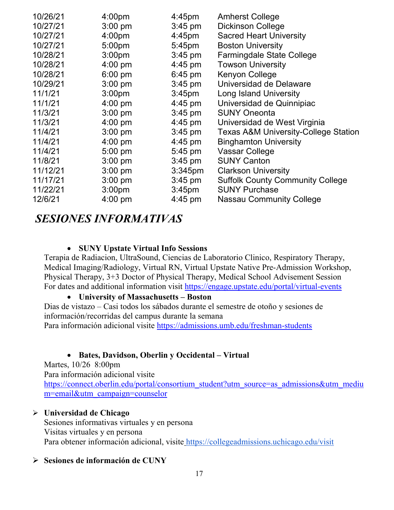| 10/26/21 | 4:00 <sub>pm</sub> | $4:45$ pm          | <b>Amherst College</b>                          |
|----------|--------------------|--------------------|-------------------------------------------------|
| 10/27/21 | $3:00$ pm          | $3:45$ pm          | <b>Dickinson College</b>                        |
| 10/27/21 | 4:00 <sub>pm</sub> | $4:45$ pm          | <b>Sacred Heart University</b>                  |
| 10/27/21 | 5:00 <sub>pm</sub> | $5:45$ pm          | <b>Boston University</b>                        |
| 10/28/21 | 3:00 <sub>pm</sub> | $3:45$ pm          | <b>Farmingdale State College</b>                |
| 10/28/21 | $4:00$ pm          | $4:45$ pm          | <b>Towson University</b>                        |
| 10/28/21 | $6:00$ pm          | $6:45$ pm          | <b>Kenyon College</b>                           |
| 10/29/21 | $3:00$ pm          | $3:45$ pm          | Universidad de Delaware                         |
| 11/1/21  | 3:00 <sub>pm</sub> | 3:45 <sub>pm</sub> | <b>Long Island University</b>                   |
| 11/1/21  | $4:00 \text{ pm}$  | $4:45$ pm          | Universidad de Quinnipiac                       |
| 11/3/21  | $3:00$ pm          | $3:45$ pm          | <b>SUNY Oneonta</b>                             |
| 11/3/21  | $4:00 \text{ pm}$  | $4:45$ pm          | Universidad de West Virginia                    |
| 11/4/21  | $3:00$ pm          | $3:45$ pm          | <b>Texas A&amp;M University-College Station</b> |
| 11/4/21  | $4:00$ pm          | $4:45$ pm          | <b>Binghamton University</b>                    |
| 11/4/21  | 5:00 pm            | 5:45 pm            | <b>Vassar College</b>                           |
| 11/8/21  | $3:00$ pm          | $3:45$ pm          | <b>SUNY Canton</b>                              |
| 11/12/21 | $3:00$ pm          | $3:345$ pm         | <b>Clarkson University</b>                      |
| 11/17/21 | $3:00$ pm          | $3:45$ pm          | <b>Suffolk County Community College</b>         |
| 11/22/21 | 3:00 <sub>pm</sub> | 3:45 <sub>pm</sub> | <b>SUNY Purchase</b>                            |
| 12/6/21  | $4:00 \text{ pm}$  | $4:45$ pm          | <b>Nassau Community College</b>                 |

### *SESIONES INFORMATIVAS*

### • **SUNY Upstate Virtual Info Sessions**

Terapia de Radiacion, UltraSound, Ciencias de Laboratorio Clinico, Respiratory Therapy, Medical Imaging/Radiology, Virtual RN, Virtual Upstate Native Pre-Admission Workshop, Physical Therapy, 3+3 Doctor of Physical Therapy, Medical School Advisement Session For dates and additional information visit<https://engage.upstate.edu/portal/virtual-events>

#### • **University of Massachusetts – Boston**

Dias de vistazo – Casi todos los sábados durante el semestre de otoño y sesiones de información/recorridas del campus durante la semana

Para información adicional visite<https://admissions.umb.edu/freshman-students>

### • **Bates, Davidson, Oberlin y Occidental – Virtual**

Martes, 10/26 8:00pm Para información adicional visite [https://connect.oberlin.edu/portal/consortium\\_student?utm\\_source=as\\_admissions&utm\\_mediu](https://connect.oberlin.edu/portal/consortium_student?utm_source=as_admissions&utm_medium=email&utm_campaign=counselor) [m=email&utm\\_campaign=counselor](https://connect.oberlin.edu/portal/consortium_student?utm_source=as_admissions&utm_medium=email&utm_campaign=counselor)

#### **Universidad de Chicago**

Sesiones informativas virtuales y en persona Visitas virtuales y en persona Para obtener información adicional, visite <https://collegeadmissions.uchicago.edu/visit>

### **Sesiones de información de CUNY**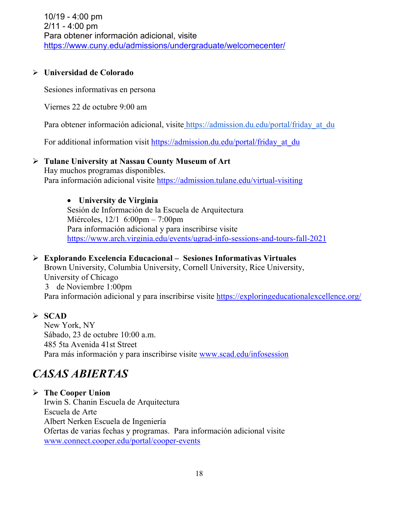### **Universidad de Colorado**

Sesiones informativas en persona

Viernes 22 de octubre 9:00 am

Para obtener información adicional, visite https://admission.du.edu/portal/friday at du

For additional information visit [https://admission.du.edu/portal/friday\\_at\\_du](https://admission.du.edu/portal/friday_at_du)

### **Tulane University at Nassau County Museum of Art**

Hay muchos programas disponibles. Para información adicional visite <https://admission.tulane.edu/virtual-visiting>

### • **University de Virginia**

Sesión de Información de la Escuela de Arquitectura Miércoles, 12/1 6:00pm – 7:00pm Para información adicional y para inscribirse visite <https://www.arch.virginia.edu/events/ugrad-info-sessions-and-tours-fall-2021>

### **Explorando Excelencia Educacional – Sesiones Informativas Virtuales**

Brown University, Columbia University, Cornell University, Rice University, University of Chicago 3 de Noviembre 1:00pm Para información adicional y para inscribirse visite<https://exploringeducationalexcellence.org/>

### **SCAD**

New York, NY Sábado, 23 de octubre 10:00 a.m. 485 5ta Avenida 41st Street Para más información y para inscribirse visite [www.scad.edu/infosession](http://www.scad.edu/infosession)

### *CASAS ABIERTAS*

### **The Cooper Union**

Irwin S. Chanin Escuela de Arquitectura Escuela de Arte Albert Nerken Escuela de Ingeniería Ofertas de varias fechas y programas. Para información adicional visite [www.connect.cooper.edu/portal/cooper-events](http://www.connect.cooper.edu/portal/cooper-events)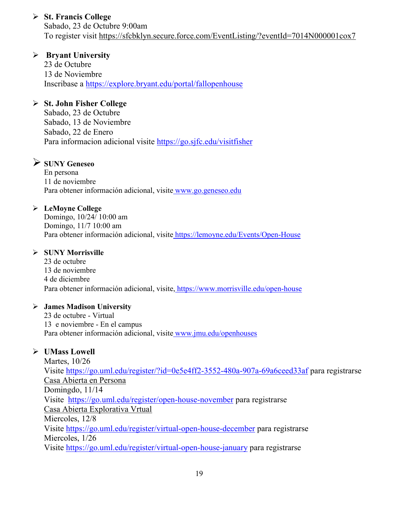### **St. Francis College**

Sabado, 23 de Octubre 9:00am To register visit<https://sfcbklyn.secure.force.com/EventListing/?eventId=7014N000001cox7>

### **Bryant University**

23 de Octubre 13 de Noviembre Inscribase a<https://explore.bryant.edu/portal/fallopenhouse>

### **St. John Fisher College**

Sabado, 23 de Octubre Sabado, 13 de Noviembre Sabado, 22 de Enero Para informacion adicional visite<https://go.sjfc.edu/visitfisher>

### **SUNY Geneseo**

En persona 11 de noviembre Para obtener información adicional, visite [www.go.geneseo.edu](http://www.go.geneseo.edu/)

### **LeMoyne College**

Domingo, 10/24/ 10:00 am Domingo, 11/7 10:00 am Para obtener información adicional, visite <https://lemoyne.edu/Events/Open-House>

### **SUNY Morrisville**

23 de octubre 13 de noviembre 4 de diciembre Para obtener información adicional, visite, <https://www.morrisville.edu/open-house>

### **James Madison University**

23 de octubre - Virtual 13 e noviembre - En el campus Para obtener información adicional, visite [www.jmu.edu/openhouses](http://www.jmu.edu/openhouses)

### **UMass Lowell**

Martes, 10/26 Visite <https://go.uml.edu/register/?id=0e5e4ff2-3552-480a-907a-69a6ceed33af> para registrarse Casa Abierta en Persona Domingdo, 11/14 Visite <https://go.uml.edu/register/open-house-november> para registrarse Casa Abierta Explorativa Vrtual Miercoles, 12/8 Visite <https://go.uml.edu/register/virtual-open-house-december> para registrarse Miercoles, 1/26 Visite <https://go.uml.edu/register/virtual-open-house-january> para registrarse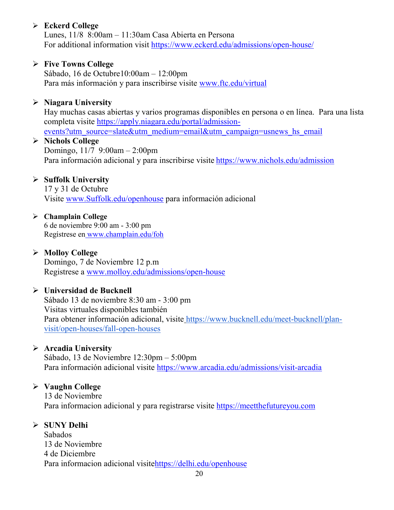### **Eckerd College**

Lunes, 11/8 8:00am – 11:30am Casa Abierta en Persona For additional information visit<https://www.eckerd.edu/admissions/open-house/>

### **Five Towns College**

Sábado, 16 de Octubre10:00am – 12:00pm Para más información y para inscribirse visite [www.ftc.edu/virtual](http://www.ftc.edu/virtual)

### **Niagara University**

Hay muchas casas abiertas y varios programas disponibles en persona o en línea. Para una lista completa visite [https://apply.niagara.edu/portal/admission](https://apply.niagara.edu/portal/admission-events?utm_source=slate&utm_medium=email&utm_campaign=usnews_hs_email)[events?utm\\_source=slate&utm\\_medium=email&utm\\_campaign=usnews\\_hs\\_email](https://apply.niagara.edu/portal/admission-events?utm_source=slate&utm_medium=email&utm_campaign=usnews_hs_email)

### **Nichols College**

Domingo, 11/7 9:00am – 2:00pm Para información adicional y para inscribirse visite <https://www.nichols.edu/admission>

### **Suffolk University**

17 y 31 de Octubre Visite [www.Suffolk.edu/openhouse](http://www.suffolk.edu/openhouse) para información adicional

### **Champlain College**

6 de noviembre 9:00 am - 3:00 pm Regístrese en [www.champlain.edu/foh](http://www.champlain.edu/foh)

### **Molloy College**

Domingo, 7 de Noviembre 12 p.m Registrese a [www.molloy.edu/admissions/open-house](http://www.molloy.edu/admissions/open-house)

### **Universidad de Bucknell**

Sábado 13 de noviembre 8:30 am - 3:00 pm Visitas virtuales disponibles también Para obtener información adicional, visite [https://www.bucknell.edu/meet-bucknell/plan](https://www.bucknell.edu/meet-bucknell/plan-visit/open-houses/fall-open-houses)[visit/open-houses/fall-open-houses](https://www.bucknell.edu/meet-bucknell/plan-visit/open-houses/fall-open-houses)

### **Arcadia University**

Sábado, 13 de Noviembre 12:30pm – 5:00pm Para información adicional visite <https://www.arcadia.edu/admissions/visit-arcadia>

### **Vaughn College**

13 de Noviembre Para informacion adicional y para registrarse visite [https://meetthefutureyou.com](https://meetthefutureyou.com/)

### **SUNY Delhi**

Sabados 13 de Noviembre 4 de Diciembre Para informacion adicional visit[ehttps://delhi.edu/openhouse](https://delhi.edu/openhouse)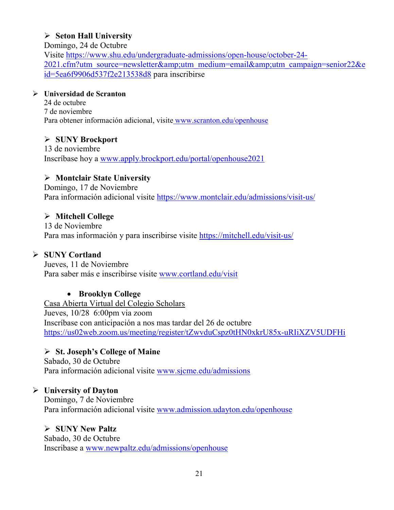### **Seton Hall University**

Domingo, 24 de Octubre

Visite [https://www.shu.edu/undergraduate-admissions/open-house/october-24-](https://www.shu.edu/undergraduate-admissions/open-house/october-24-2021.cfm?utm_source=newsletter&utm_medium=email&utm_campaign=senior22&eid=5ea6f9906d537f2e213538d8) [2021.cfm?utm\\_source=newsletter&utm\\_medium=email&utm\\_campaign=senior22&e](https://www.shu.edu/undergraduate-admissions/open-house/october-24-2021.cfm?utm_source=newsletter&utm_medium=email&utm_campaign=senior22&eid=5ea6f9906d537f2e213538d8) [id=5ea6f9906d537f2e213538d8](https://www.shu.edu/undergraduate-admissions/open-house/october-24-2021.cfm?utm_source=newsletter&utm_medium=email&utm_campaign=senior22&eid=5ea6f9906d537f2e213538d8) para inscribirse

### **Universidad de Scranton**

24 de octubre 7 de noviembre Para obtener información adicional, visite [www.scranton.edu/openhouse](http://www.scranton.edu/openhouse)

**SUNY Brockport**

13 de noviembre Inscríbase hoy a [www.apply.brockport.edu/portal/openhouse2021](http://www.apply.brockport.edu/portal/openhouse2021)

### **Montclair State University**

Domingo, 17 de Noviembre Para información adicional visite<https://www.montclair.edu/admissions/visit-us/>

### **Mitchell College**

13 de Noviembre Para mas información y para inscribirse visite<https://mitchell.edu/visit-us/>

### **SUNY Cortland**

Jueves, 11 de Noviembre Para saber más e inscribirse visite [www.cortland.edu/visit](http://www.cortland.edu/visit)

### • **Brooklyn College**

Casa Abierta Virtual del Colegio Scholars Jueves, 10/28 6:00pm via zoom Inscríbase con anticipación a nos mas tardar del 26 de octubre <https://us02web.zoom.us/meeting/register/tZwvduCspz0tHN0xkrU85x-uRIiXZV5UDFHi>

### **St. Joseph's College of Maine**

Sabado, 30 de Octubre Para información adicional visite [www.sjcme.edu/admissions](http://www.sjcme.edu/admissions) 

### **University of Dayton**

Domingo, 7 de Noviembre Para información adicional visite [www.admission.udayton.edu/openhouse](http://www.admission.udayton.edu/openhouse)

### **SUNY New Paltz**

Sabado, 30 de Octubre Inscribase a [www.newpaltz.edu/admissions/openhouse](http://www.newpaltz.edu/admissions/openhouse)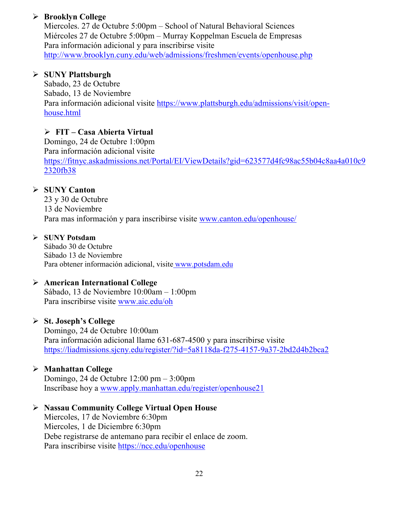### **Brooklyn College**

Miercoles. 27 de Octubre 5:00pm – School of Natural Behavioral Sciences Miércoles 27 de Octubre 5:00pm – Murray Koppelman Escuela de Empresas Para información adicional y para inscribirse visite <http://www.brooklyn.cuny.edu/web/admissions/freshmen/events/openhouse.php>

### **SUNY Plattsburgh**

Sabado, 23 de Octubre Sabado, 13 de Noviembre Para información adicional visite [https://www.plattsburgh.edu/admissions/visit/open](https://www.plattsburgh.edu/admissions/visit/open-house.html)[house.html](https://www.plattsburgh.edu/admissions/visit/open-house.html)

### **FIT – Casa Abierta Virtual**

Domingo, 24 de Octubre 1:00pm Para información adicional visite [https://fitnyc.askadmissions.net/Portal/EI/ViewDetails?gid=623577d4fc98ac55b04c8aa4a010c9](https://fitnyc.askadmissions.net/Portal/EI/ViewDetails?gid=623577d4fc98ac55b04c8aa4a010c92320fb38) [2320fb38](https://fitnyc.askadmissions.net/Portal/EI/ViewDetails?gid=623577d4fc98ac55b04c8aa4a010c92320fb38)

### **SUNY Canton**

23 y 30 de Octubre 13 de Noviembre Para mas información y para inscribirse visite [www.canton.edu/openhouse/](http://www.canton.edu/openhouse/)

### **SUNY Potsdam**

Sábado 30 de Octubre Sábado 13 de Noviembre Para obtener información adicional, visite [www.potsdam.edu](http://www.potsdam.edu/)

### **American International College**

Sábado, 13 de Noviembre 10:00am – 1:00pm Para inscribirse visite [www.aic.edu/oh](http://www.aic.edu/oh)

### **St. Joseph's College**

Domingo, 24 de Octubre 10:00am Para información adicional llame 631-687-4500 y para inscribirse visite <https://liadmissions.sjcny.edu/register/?id=5a8118da-f275-4157-9a37-2bd2d4b2bca2>

### **Manhattan College**

Domingo, 24 de Octubre 12:00 pm – 3:00pm Inscríbase hoy a [www.apply.manhattan.edu/register/openhouse21](http://www.apply.manhattan.edu/register/openhouse21)

### **Nassau Community College Virtual Open House**

Miercoles, 17 de Noviembre 6:30pm Miercoles, 1 de Diciembre 6:30pm Debe registrarse de antemano para recibir el enlace de zoom. Para inscribirse visite <https://ncc.edu/openhouse>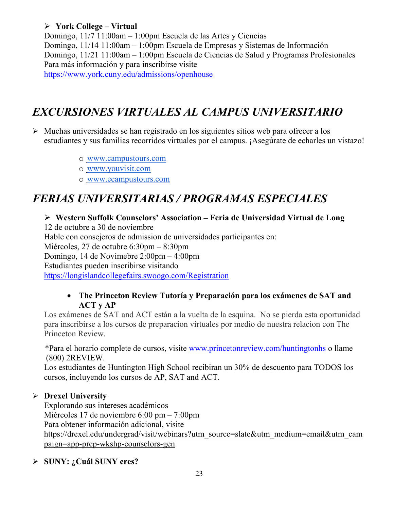### **York College – Virtual**

Domingo, 11/7 11:00am – 1:00pm Escuela de las Artes y Ciencias Domingo, 11/14 11:00am – 1:00pm Escuela de Empresas y Sistemas de Información Domingo, 11/21 11:00am – 1:00pm Escuela de Ciencias de Salud y Programas Profesionales Para más información y para inscribirse visite <https://www.york.cuny.edu/admissions/openhouse>

# *EXCURSIONES VIRTUALES AL CAMPUS UNIVERSITARIO*

- $\triangleright$  Muchas universidades se han registrado en los siguientes sitios web para ofrecer a los estudiantes y sus familias recorridos virtuales por el campus. ¡Asegúrate de echarles un vistazo!
	- o [www.campustours.com](http://www.campustours.com/)
	- o [www.youvisit.com](http://www.youvisit.com/)
	- o [www.ecampustours.com](http://www.ecampustours.com/)

# *FERIAS UNIVERSITARIAS / PROGRAMAS ESPECIALES*

### **Western Suffolk Counselors' Association – Feria de Universidad Virtual de Long**

12 de octubre a 30 de noviembre

Hable con consejeros de admission de universidades participantes en:

Miércoles, 27 de octubre 6:30pm – 8:30pm

Domingo, 14 de Novimebre 2:00pm – 4:00pm

Estudiantes pueden inscribirse visitando

<https://longislandcollegefairs.swoogo.com/Registration>

### • **The Princeton Review Tutoría y Preparación para los exámenes de SAT and ACT y AP**

Los exámenes de SAT and ACT están a la vuelta de la esquina. No se pierda esta oportunidad para inscribirse a los cursos de preparacion virtuales por medio de nuestra relacion con The Princeton Review.

 \*Para el horario complete de cursos, visite [www.princetonreview.com/huntingtonhs](http://www.princetonreview.com/huntingtonhs) o llame (800) 2REVIEW.

Los estudiantes de Huntington High School recibiran un 30% de descuento para TODOS los cursos, incluyendo los cursos de AP, SAT and ACT.

### **Drexel University**

Explorando sus intereses académicos Miércoles 17 de noviembre 6:00 pm – 7:00pm Para obtener información adicional, visit[e](https://drexel.edu/undergrad/visit/webinars?utm_source=slate&utm_medium=email&utm_campaign=app-prep-wkshp-counselors-gen) [https://drexel.edu/undergrad/visit/webinars?utm\\_source=slate&utm\\_medium=email&utm\\_cam](https://drexel.edu/undergrad/visit/webinars?utm_source=slate&utm_medium=email&utm_campaign=app-prep-wkshp-counselors-gen) [paign=app-prep-wkshp-counselors-gen](https://drexel.edu/undergrad/visit/webinars?utm_source=slate&utm_medium=email&utm_campaign=app-prep-wkshp-counselors-gen)

### **SUNY: ¿Cuál SUNY eres?**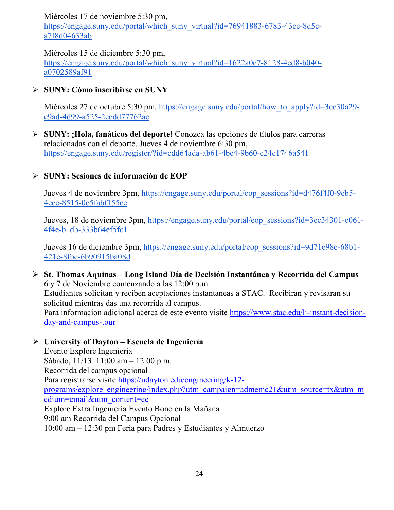Miércoles 17 de noviembre 5:30 pm[,](https://engage.suny.edu/portal/which_suny_virtual?id=76941883-6783-43ee-8d5c-a7f8d04633ab)

[https://engage.suny.edu/portal/which\\_suny\\_virtual?id=76941883-6783-43ee-8d5c](https://engage.suny.edu/portal/which_suny_virtual?id=76941883-6783-43ee-8d5c-a7f8d04633ab)[a7f8d04633ab](https://engage.suny.edu/portal/which_suny_virtual?id=76941883-6783-43ee-8d5c-a7f8d04633ab)

Miércoles 15 de diciembre 5:30 pm[,](https://engage.suny.edu/portal/which_suny_virtual?id=1622a0c7-8128-4cd8-b040-a0702589af91) [https://engage.suny.edu/portal/which\\_suny\\_virtual?id=1622a0c7-8128-4cd8-b040](https://engage.suny.edu/portal/which_suny_virtual?id=1622a0c7-8128-4cd8-b040-a0702589af91) [a0702589af91](https://engage.suny.edu/portal/which_suny_virtual?id=1622a0c7-8128-4cd8-b040-a0702589af91)

**SUNY: Cómo inscribirse en SUNY**

Miércoles 27 de octubre 5:30 pm, [https://engage.suny.edu/portal/how\\_to\\_apply?id=3ee30a29](https://engage.suny.edu/portal/how_to_apply?id=3ee30a29-e9ad-4d99-a525-2ccdd77762ae) [e9ad-4d99-a525-2ccdd77762ae](https://engage.suny.edu/portal/how_to_apply?id=3ee30a29-e9ad-4d99-a525-2ccdd77762ae)

 **SUNY: ¡Hola, fanáticos del deporte!** Conozca las opcione[s de títulos para carreras](https://engage.suny.edu/register/?id=cdd64ada-ab61-4be4-9b60-c24c1746a541)  relacionadas con el deporte. Jueves 4 de noviembre 6:30 pm, <https://engage.suny.edu/register/?id=cdd64ada-ab61-4be4-9b60-c24c1746a541>

### **SUNY: Sesiones de información de EOP**

Jueves 4 de noviembre 3pm, [https://engage.suny.edu/portal/eop\\_sessions?id=d476f4f0-9eb5-](https://engage.suny.edu/portal/eop_sessions?id=d476f4f0-9eb5-4eee-8515-0e5fabf155ee) [4eee-8515-0e5fabf155ee](https://engage.suny.edu/portal/eop_sessions?id=d476f4f0-9eb5-4eee-8515-0e5fabf155ee)

Jueves, 18 de noviembre 3pm, [https://engage.suny.edu/portal/eop\\_sessions?id=3ec34301-e061-](https://engage.suny.edu/portal/eop_sessions?id=3ec34301-e061-4f4e-b1db-333b64ef5fc1) [4f4e-b1db-333b64ef5fc1](https://engage.suny.edu/portal/eop_sessions?id=3ec34301-e061-4f4e-b1db-333b64ef5fc1)

Jueves 16 de diciembre 3pm, [https://engage.suny.edu/portal/eop\\_sessions?id=9d71e98e-68b1-](https://engage.suny.edu/portal/eop_sessions?id=9d71e98e-68b1-421c-8fbe-6b90915ba08d) [421c-8fbe-6b90915ba08d](https://engage.suny.edu/portal/eop_sessions?id=9d71e98e-68b1-421c-8fbe-6b90915ba08d)

 **St. Thomas Aquinas – Long Island Día de Decisión Instantánea y Recorrida del Campus** 6 y 7 de Noviembre comenzando a las 12:00 p.m. Estudiantes solicitan y reciben aceptaciones instantaneas a STAC. Recibiran y revisaran su solicitud mientras das una recorrida al campus. Para informacion adicional acerca de este evento visite [https://www.stac.edu/li-instant-decision](https://www.stac.edu/li-instant-decision-day-and-campus-tour)[day-and-campus-tour](https://www.stac.edu/li-instant-decision-day-and-campus-tour)

### **University of Dayton – Escuela de Ingeniería**

Evento Explore Ingeniería Sábado, 11/13 11:00 am – 12:00 p.m. Recorrida del campus opcional Para registrarse visite [https://udayton.edu/engineering/k-12](https://udayton.edu/engineering/k-12-programs/explore_engineering/index.php?utm_campaign=admemc21&utm_source=tx&utm_medium=email&utm_content=ee) [programs/explore\\_engineering/index.php?utm\\_campaign=admemc21&utm\\_source=tx&utm\\_m](https://udayton.edu/engineering/k-12-programs/explore_engineering/index.php?utm_campaign=admemc21&utm_source=tx&utm_medium=email&utm_content=ee) [edium=email&utm\\_content=ee](https://udayton.edu/engineering/k-12-programs/explore_engineering/index.php?utm_campaign=admemc21&utm_source=tx&utm_medium=email&utm_content=ee) Explore Extra Ingeniería Evento Bono en la Mañana 9:00 am Recorrida del Campus Opcional 10:00 am – 12:30 pm Feria para Padres y Estudiantes y Almuerzo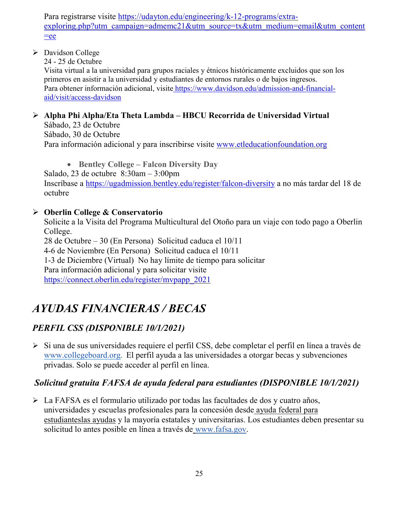Para registrarse visite [https://udayton.edu/engineering/k-12-programs/extra](https://udayton.edu/engineering/k-12-programs/extra-exploring.php?utm_campaign=admemc21&utm_source=tx&utm_medium=email&utm_content=ee)[exploring.php?utm\\_campaign=admemc21&utm\\_source=tx&utm\\_medium=email&utm\\_content](https://udayton.edu/engineering/k-12-programs/extra-exploring.php?utm_campaign=admemc21&utm_source=tx&utm_medium=email&utm_content=ee)  $=$ ee

Davidson College

24 - 25 de Octubre

Visita virtual a la universidad para grupos raciales y étnicos históricamente excluidos que son los primeros en asistir a la universidad y estudiantes de entornos rurales o de bajos ingresos. Para obtener información adicional, visite [https://www.davidson.edu/admission-and-financial](https://www.davidson.edu/admission-and-financial-aid/visit/access-davidson)[aid/visit/access-davidson](https://www.davidson.edu/admission-and-financial-aid/visit/access-davidson)

#### **Alpha Phi Alpha/Eta Theta Lambda – HBCU Recorrida de Universidad Virtual** Sábado, 23 de Octubre

Sábado, 30 de Octubre Para información adicional y para inscribirse visite [www.etleducationfoundation.org](http://www.etleducationfoundation.org/)

• **Bentley College – Falcon Diversity Day** Salado, 23 de octubre 8:30am – 3:00pm Inscríbase a<https://ugadmission.bentley.edu/register/falcon-diversity> a no más tardar del 18 de octubre

### **Oberlin College & Conservatorio**

Solicite a la Visita del Programa Multicultural del Otoño para un viaje con todo pago a Oberlin College.

28 de Octubre – 30 (En Persona) Solicitud caduca el 10/11 4-6 de Noviembre (En Persona) Solicitud caduca el 10/11 1-3 de Diciembre (Virtual) No hay límite de tiempo para solicitar Para información adicional y para solicitar visite [https://connect.oberlin.edu/register/mvpapp\\_2021](https://connect.oberlin.edu/register/mvpapp_2021)

# *AYUDAS FINANCIERAS / BECAS*

### *PERFIL CSS (DISPONIBLE 10/1/2021)*

Si una d[e](http://www.collegeboard.org/) sus universidades requiere el perfil CSS, debe completar el perfil en línea a través de [www.collegeboard.org.](http://www.collegeboard.org/) El perfil ayuda a las universidades a otorgar becas y subvenciones privadas. Solo se puede acceder al perfil en línea.

### *Solicitud gratuita FAFSA de ayuda federal para estudiantes (DISPONIBLE 10/1/2021)*

 La FAFSA es el formulario utilizado por todas las facultades de dos y cuatro años, universidades y escuelas profesionales para la concesión desde [ayuda federal para](http://studentaid.ed.gov/students/publications/student_guide/2010-2011/english/typesofFSA_grants.htm)  [estudianteslas ayudas](http://studentaid.ed.gov/students/publications/student_guide/2010-2011/english/typesofFSA_grants.htm) y la mayoría estatales y universitarias. Los estudiantes deben presentar su solicitud lo antes posible en línea a través de [www.fafsa.gov.](http://www.fafsa.gov/)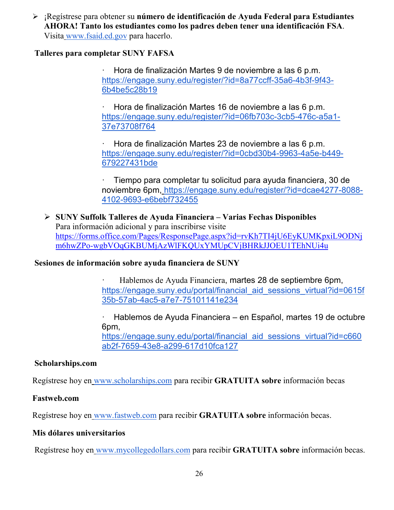¡Regístrese para obtener su **número de identificación de Ayuda Federal para Estudiantes AHORA! Tanto los estudiantes como los padres deben tener una identificación FSA**. Visita [www.fsaid.ed.gov](http://www.fsaid.ed.gov/) para hacerlo.

### **Talleres para completar SUNY FAFSA**

· Hora de finalización Martes 9 de noviembre a las 6 p.m[.](https://engage.suny.edu/register/?id=8a77ccff-35a6-4b3f-9f43-6b4be5c28b19) [https://engage.suny.edu/register/?id=8a77ccff-35a6-4b3f-9f43-](https://engage.suny.edu/register/?id=8a77ccff-35a6-4b3f-9f43-6b4be5c28b19) [6b4be5c28b19](https://engage.suny.edu/register/?id=8a77ccff-35a6-4b3f-9f43-6b4be5c28b19)

· Hora de finalización Martes 16 de noviembre a las 6 p.m[.](https://engage.suny.edu/register/?id=06fb703c-3cb5-476c-a5a1-37e73708f764) [https://engage.suny.edu/register/?id=06fb703c-3cb5-476c-a5a1-](https://engage.suny.edu/register/?id=06fb703c-3cb5-476c-a5a1-37e73708f764) [37e73708f764](https://engage.suny.edu/register/?id=06fb703c-3cb5-476c-a5a1-37e73708f764)

· Hora de finalización Martes 23 de noviembre a las 6 p.m[.](https://engage.suny.edu/register/?id=0cbd30b4-9963-4a5e-b449-679227431bde) [https://engage.suny.edu/register/?id=0cbd30b4-9963-4a5e-b449-](https://engage.suny.edu/register/?id=0cbd30b4-9963-4a5e-b449-679227431bde) [679227431bde](https://engage.suny.edu/register/?id=0cbd30b4-9963-4a5e-b449-679227431bde)

· Tiempo para completar tu solicitud para ayuda financiera, 30 de noviembre 6pm, [https://engage.suny.edu/register/?id=dcae4277-8088-](https://engage.suny.edu/register/?id=dcae4277-8088-4102-9693-e6bebf732455) [4102-9693-e6bebf732455](https://engage.suny.edu/register/?id=dcae4277-8088-4102-9693-e6bebf732455)

 **SUNY Suffolk Talleres de Ayuda Financiera – Varias Fechas Disponibles** Para información adicional y para inscribirse visite [https://forms.office.com/Pages/ResponsePage.aspx?id=rvKh7TI4jU6EyKUMKpxiL9ODNj](https://forms.office.com/Pages/ResponsePage.aspx?id=rvKh7TI4jU6EyKUMKpxiL9ODNjm6hwZPo-wgbVOqGKBUMjAzWlFKQUxYMUpCVjBHRkJJOEU1TEhNUi4u) [m6hwZPo-wgbVOqGKBUMjAzWlFKQUxYMUpCVjBHRkJJOEU1TEhNUi4u](https://forms.office.com/Pages/ResponsePage.aspx?id=rvKh7TI4jU6EyKUMKpxiL9ODNjm6hwZPo-wgbVOqGKBUMjAzWlFKQUxYMUpCVjBHRkJJOEU1TEhNUi4u)

### **Sesiones de información sobre ayuda financiera de SUNY**

· Hablemos de Ayuda Financiera, martes 28 de septiembre 6pm[,](https://engage.suny.edu/portal/financial_aid_sessions_virtual?id=0615f35b-57ab-4ac5-a7e7-75101141e234) [https://engage.suny.edu/portal/financial\\_aid\\_sessions\\_virtual?id=0615f](https://engage.suny.edu/portal/financial_aid_sessions_virtual?id=0615f35b-57ab-4ac5-a7e7-75101141e234) [35b-57ab-4ac5-a7e7-75101141e234](https://engage.suny.edu/portal/financial_aid_sessions_virtual?id=0615f35b-57ab-4ac5-a7e7-75101141e234)

· Hablemos de Ayuda Financiera – en Español, martes 19 de octubre 6pm[,](https://engage.suny.edu/portal/financial_aid_sessions_virtual?id=c660ab2f-7659-43e8-a299-617d10fca127) https://engage.suny.edu/portal/financial aid sessions virtual?id=c660 [ab2f-7659-43e8-a299-617d10fca127](https://engage.suny.edu/portal/financial_aid_sessions_virtual?id=c660ab2f-7659-43e8-a299-617d10fca127)

### **Scholarships.com**

Regístrese hoy en [www.scholarships.com](http://www.scholarships.com/) para recibir **GRATUITA sobre** información becas

### **Fastweb.com**

Regístrese hoy en [www.fastweb.com](http://www.fastweb.com/) para recibir **GRATUITA sobre** información becas.

### **Mis dólares universitarios**

Regístrese hoy en [www.mycollegedollars.com](http://www.mycollegedollars.com/) para recibir **GRATUITA sobre** información becas.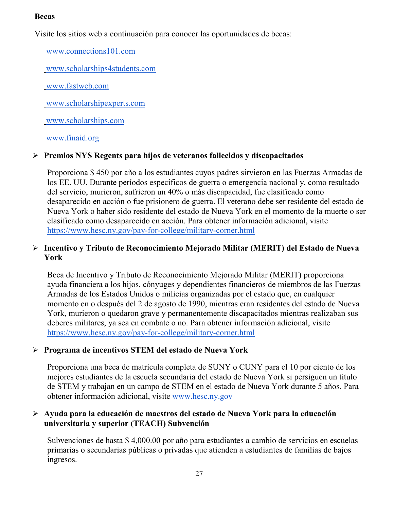### **Becas**

Visite los sitios web a continuación para conocer las oportunidades de becas:

[www.connections101.com](http://www.connections101.com/)

[www.scholarships4students.com](http://www.scholarships4students.com/)

[www.fastweb.com](http://www.fastweb.com/)

[www.scholarshipexperts.com](http://www.scholarshipexperts.com/)

[www.scholarships.com](http://www.scholarships.com/)

[www.finaid.org](http://www.finaid.org/)

### **Premios NYS Regents para hijos de veteranos fallecidos y discapacitados**

Proporciona \$ 450 por año a los estudiantes cuyos padres sirvieron en las Fuerzas Armadas de los EE. UU. Durante períodos específicos de guerra o emergencia nacional y, como resultado del servicio, murieron, sufrieron un 40% o más discapacidad, fue clasificado como desaparecido en acción o fue prisionero de guerra. El veterano debe ser residente del estado de Nueva York o haber sido residente del estado de Nueva York en el momento de la muerte o ser clasificado como desaparecido en acción. Para obtener información adicional, visit[e](https://www.hesc.ny.gov/pay-for-college/military-corner.html) <https://www.hesc.ny.gov/pay-for-college/military-corner.html>

### **Incentivo y Tributo de Reconocimiento Mejorado Militar (MERIT) del Estado de Nueva York**

Beca de Incentivo y Tributo de Reconocimiento Mejorado Militar (MERIT) proporciona ayuda financiera a los hijos, cónyuges y dependientes financieros de miembros de las Fuerzas Armadas de los Estados Unidos o milicias organizadas por el estado que, en cualquier momento en o después del 2 de agosto de 1990, mientras eran residentes del estado de Nueva York, murieron o quedaron grave y permanentemente discapacitados mientras realizaban sus deberes militares, ya sea en combate o no. Para obtener información adicional, visit[e](https://www.hesc.ny.gov/pay-for-college/military-corner.html) <https://www.hesc.ny.gov/pay-for-college/military-corner.html>

### **Programa de incentivos STEM del estado de Nueva York**

Proporciona una beca de matrícula completa de SUNY o CUNY para el 10 por ciento de los mejores estudiantes de la escuela secundaria del estado de Nueva York si persiguen un título de STEM y trabajan en un campo de STEM en el estado de Nueva York durante 5 años. Para obtener información adicional, visite [www.hesc.ny.gov](http://www.hesc.ny.gov/)

### **Ayuda para la educación de maestros del estado de Nueva York para la educación universitaria y superior (TEACH) Subvención**

Subvenciones de hasta \$ 4,000.00 por año para estudiantes a cambio de servicios en escuelas primarias o secundarias públicas o privadas que atienden a estudiantes de familias de bajos ingresos.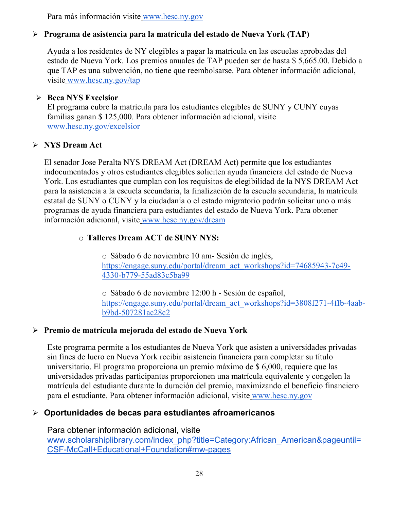Para más información visite [www.hesc.ny.gov](http://www.hesc.ny.gov/) 

### **Programa de asistencia para la matrícula del estado de Nueva York (TAP)**

Ayuda a los residentes de NY elegibles a pagar la matrícula en las escuelas aprobadas del estado de Nueva York. Los premios anuales de TAP pueden ser de hasta \$ 5,665.00. Debido a que TAP es una subvención, no tiene que reembolsarse. Para obtener información adicional, visite [www.hesc.ny.gov/tap](http://www.hesc.ny.gov/tap)

### **Beca NYS Excelsior**

El programa cubre la matrícula para los estudiantes elegibles de SUNY y CUNY cuyas familias ganan \$ 125,000. Para obtener información adicional, visit[e](http://www.hesc.ny.gov/) [www.hesc.ny.gov/](http://www.hesc.ny.gov/)excelsior

### **NYS Dream Act**

El senador Jose Peralta NYS DREAM Act (DREAM Act) permite que los estudiantes indocumentados y otros estudiantes elegibles soliciten ayuda financiera del estado de Nueva York. Los estudiantes que cumplan con los requisitos de elegibilidad de la NYS DREAM Act para la asistencia a la escuela secundaria, la finalización de la escuela secundaria, la matrícula estatal de SUNY o CUNY y la ciudadanía o el estado migratorio podrán solicitar uno o más programas de ayuda financiera para estudiantes del estado de Nueva York. Para obtener información adicional, visite [www.hesc.ny.gov/dream](http://www.hesc.ny.gov/dream)

### o **Talleres Dream ACT de SUNY NYS:**

o Sábado 6 de noviembre 10 am- Sesión de inglés[,](https://engage.suny.edu/portal/dream_act_workshops?id=74685943-7c49-4330-b779-55ad83c5ba99) [https://engage.suny.edu/portal/dream\\_act\\_workshops?id=74685943-7c49-](https://engage.suny.edu/portal/dream_act_workshops?id=74685943-7c49-4330-b779-55ad83c5ba99) [4330-b779-55ad83c5ba99](https://engage.suny.edu/portal/dream_act_workshops?id=74685943-7c49-4330-b779-55ad83c5ba99)

o Sábado 6 de noviembre 12:00 h - Sesión de español[,](https://engage.suny.edu/portal/dream_act_workshops?id=3808f271-4ffb-4aab-b9bd-507281ac28c2) [https://engage.suny.edu/portal/dream\\_act\\_workshops?id=3808f271-4ffb-4aab](https://engage.suny.edu/portal/dream_act_workshops?id=3808f271-4ffb-4aab-b9bd-507281ac28c2)[b9bd-507281ac28c2](https://engage.suny.edu/portal/dream_act_workshops?id=3808f271-4ffb-4aab-b9bd-507281ac28c2)

### **Premio de matrícula mejorada del estado de Nueva York**

Este programa permite a los estudiantes de Nueva York que asisten a universidades privadas sin fines de lucro en Nueva York recibir asistencia financiera para completar su título universitario. El programa proporciona un premio máximo de \$ 6,000, requiere que las universidades privadas participantes proporcionen una matrícula equivalente y congelen la matrícula del estudiante durante la duración del premio, maximizando el beneficio financiero para el estudiante. Para obtener información adicional, visite [www.hesc.ny.gov](http://www.hesc.ny.gov/)

### **Oportunidades de becas para estudiantes afroamericanos**

Para obtener información adicional, visit[e](http://www.scholarshiplibrary.com/index_php?title=Category:African_American&pageuntil=CSF-McCall+Educational+Foundation#mw-pages) [www.scholarshiplibrary.com/index\\_php?title=Category:African\\_American&pageuntil=](http://www.scholarshiplibrary.com/index_php?title=Category:African_American&pageuntil=CSF-McCall+Educational+Foundation#mw-pages) [CSF-McCall+Educational+Foundation#mw-pages](http://www.scholarshiplibrary.com/index_php?title=Category:African_American&pageuntil=CSF-McCall+Educational+Foundation#mw-pages)